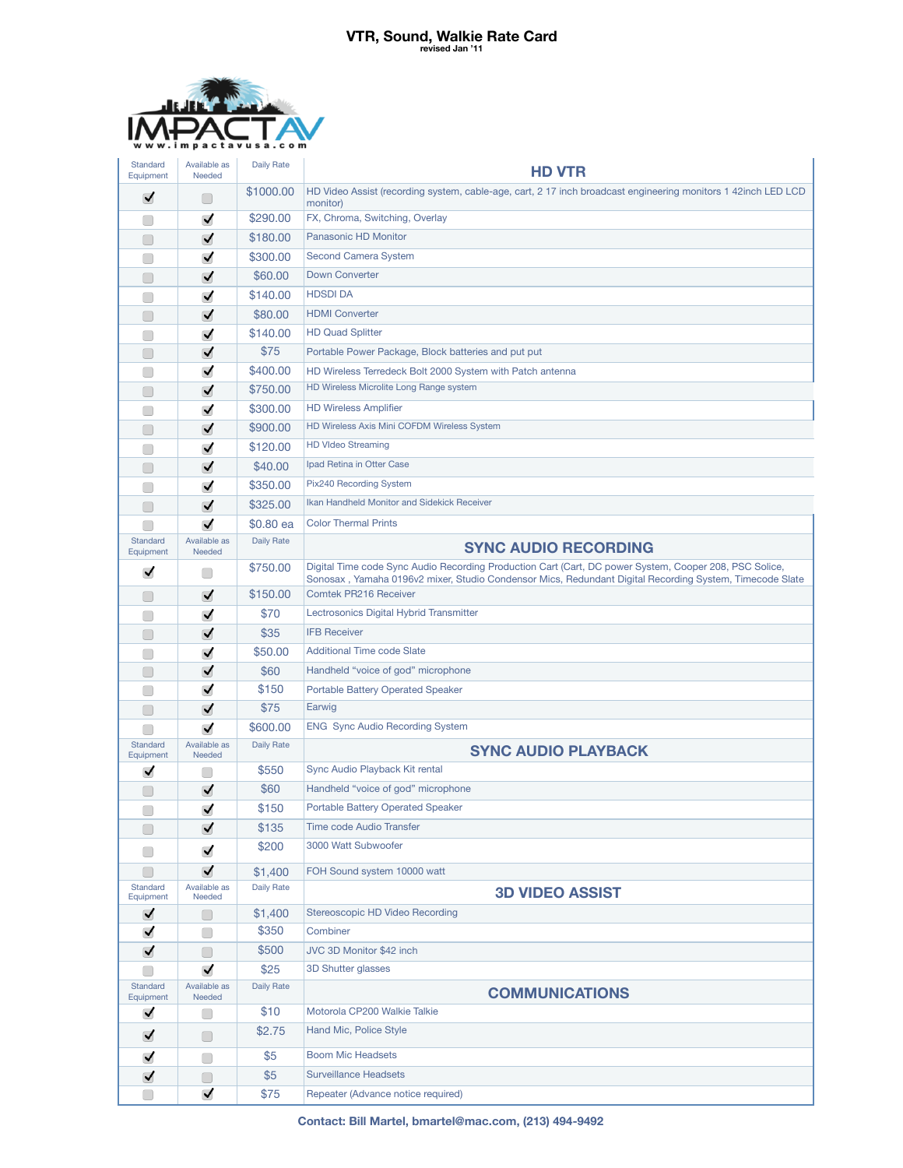## **VTR, Sound, Walkie Rate Card revised Jan '11**



| Standard<br>Equipment                               | Available as<br>Needed                 | <b>Daily Rate</b> | <b>HD VTR</b>                                                                                                                                                                                                     |
|-----------------------------------------------------|----------------------------------------|-------------------|-------------------------------------------------------------------------------------------------------------------------------------------------------------------------------------------------------------------|
| ✓                                                   |                                        | \$1000.00         | HD Video Assist (recording system, cable-age, cart, 2 17 inch broadcast engineering monitors 1 42inch LED LCD                                                                                                     |
|                                                     | ✓                                      | \$290.00          | monitor)<br>FX, Chroma, Switching, Overlay                                                                                                                                                                        |
| 0                                                   | $\blacktriangledown$                   | \$180.00          | Panasonic HD Monitor                                                                                                                                                                                              |
| □                                                   | ✓                                      | \$300.00          | <b>Second Camera System</b>                                                                                                                                                                                       |
|                                                     | ✓                                      | \$60.00           | <b>Down Converter</b>                                                                                                                                                                                             |
|                                                     | ✓                                      | \$140.00          | <b>HDSDIDA</b>                                                                                                                                                                                                    |
|                                                     |                                        | \$80.00           | <b>HDMI</b> Converter                                                                                                                                                                                             |
|                                                     | ✓                                      |                   | <b>HD Quad Splitter</b>                                                                                                                                                                                           |
|                                                     | ✓<br>$\blacktriangledown$              | \$140.00<br>\$75  |                                                                                                                                                                                                                   |
| □                                                   |                                        | \$400.00          | Portable Power Package, Block batteries and put put                                                                                                                                                               |
| 0                                                   | ✓                                      | \$750.00          | HD Wireless Terredeck Bolt 2000 System with Patch antenna<br>HD Wireless Microlite Long Range system                                                                                                              |
| 0                                                   | ✓                                      |                   | <b>HD Wireless Amplifier</b>                                                                                                                                                                                      |
|                                                     | $\blacktriangledown$                   | \$300.00          | HD Wireless Axis Mini COFDM Wireless System                                                                                                                                                                       |
| □                                                   | $\blacktriangledown$                   | \$900.00          | <b>HD VIdeo Streaming</b>                                                                                                                                                                                         |
|                                                     | ✓                                      | \$120.00          | Ipad Retina in Otter Case                                                                                                                                                                                         |
|                                                     | $\blacktriangledown$                   | \$40.00           | Pix240 Recording System                                                                                                                                                                                           |
|                                                     | $\blacktriangledown$                   | \$350.00          | Ikan Handheld Monitor and Sidekick Receiver                                                                                                                                                                       |
| $\begin{pmatrix} 1 \end{pmatrix}$                   | ✓                                      | \$325.00          |                                                                                                                                                                                                                   |
| Standard                                            | ✓                                      | \$0.80 ea         | <b>Color Thermal Prints</b>                                                                                                                                                                                       |
| Equipment                                           | Available as<br>Needed                 | <b>Daily Rate</b> | <b>SYNC AUDIO RECORDING</b>                                                                                                                                                                                       |
| ✓                                                   | $\Box$                                 | \$750.00          | Digital Time code Sync Audio Recording Production Cart (Cart, DC power System, Cooper 208, PSC Solice,<br>Sonosax, Yamaha 0196v2 mixer, Studio Condensor Mics, Redundant Digital Recording System, Timecode Slate |
| $\left(\begin{array}{c} \end{array}\right)$         | $\blacktriangledown$                   | \$150.00          | <b>Comtek PR216 Receiver</b>                                                                                                                                                                                      |
|                                                     | $\blacktriangledown$                   | \$70              | Lectrosonics Digital Hybrid Transmitter                                                                                                                                                                           |
|                                                     | ✓                                      | \$35              | <b>IFB Receiver</b>                                                                                                                                                                                               |
|                                                     | ✓                                      | \$50.00           | <b>Additional Time code Slate</b>                                                                                                                                                                                 |
| □                                                   | $\blacktriangledown$                   | \$60              | Handheld "voice of god" microphone                                                                                                                                                                                |
| 0                                                   | ✓                                      | \$150             | <b>Portable Battery Operated Speaker</b>                                                                                                                                                                          |
| $\left(\begin{array}{c} \end{array}\right)$         | ✓                                      | \$75              | Earwig                                                                                                                                                                                                            |
|                                                     | $\blacktriangledown$                   | \$600.00          | <b>ENG Sync Audio Recording System</b>                                                                                                                                                                            |
| Standard<br>Equipment                               | Available as<br>Needed                 | <b>Daily Rate</b> | <b>SYNC AUDIO PLAYBACK</b>                                                                                                                                                                                        |
| ✓                                                   | $\begin{array}{c} \square \end{array}$ | \$550             | Sync Audio Playback Kit rental                                                                                                                                                                                    |
|                                                     | ✓                                      | \$60              | Handheld "voice of god" microphone                                                                                                                                                                                |
|                                                     | $\blacktriangledown$                   | \$150             | <b>Portable Battery Operated Speaker</b>                                                                                                                                                                          |
| U                                                   | ✔                                      | \$135             | Time code Audio Transfer                                                                                                                                                                                          |
| $\left( \begin{array}{c} \ \ \ \end{array} \right)$ | ✓                                      | \$200             | 3000 Watt Subwoofer                                                                                                                                                                                               |
| □                                                   | $\blacktriangledown$                   | \$1,400           | FOH Sound system 10000 watt                                                                                                                                                                                       |
| Standard<br>Equipment                               | Available as<br>Needed                 | <b>Daily Rate</b> | <b>3D VIDEO ASSIST</b>                                                                                                                                                                                            |
| ✓                                                   | U                                      | \$1,400           | Stereoscopic HD Video Recording                                                                                                                                                                                   |
| $\blacktriangledown$                                | u                                      | \$350             | Combiner                                                                                                                                                                                                          |
| $\blacktriangledown$                                | $\Box$                                 | \$500             | JVC 3D Monitor \$42 inch                                                                                                                                                                                          |
| r i                                                 | ✔                                      | \$25              | 3D Shutter glasses                                                                                                                                                                                                |
| Standard<br>Equipment                               | Available as<br>Needed                 | Daily Rate        | <b>COMMUNICATIONS</b>                                                                                                                                                                                             |
| $\blacktriangledown$                                | $\Box$                                 | \$10              | Motorola CP200 Walkie Talkie                                                                                                                                                                                      |
| $\blacktriangledown$                                | ∩                                      | \$2.75            | Hand Mic, Police Style                                                                                                                                                                                            |
| $\blacktriangledown$                                | $\Box$                                 | \$5               | <b>Boom Mic Headsets</b>                                                                                                                                                                                          |
| ✓                                                   | □                                      | \$5               | <b>Surveillance Headsets</b>                                                                                                                                                                                      |
| □                                                   | ✔                                      | \$75              | Repeater (Advance notice required)                                                                                                                                                                                |

**Contact: Bill Martel, bmartel@mac.com, (213) 494-9492**